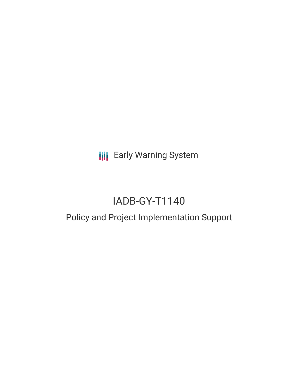**III** Early Warning System

# IADB-GY-T1140

## Policy and Project Implementation Support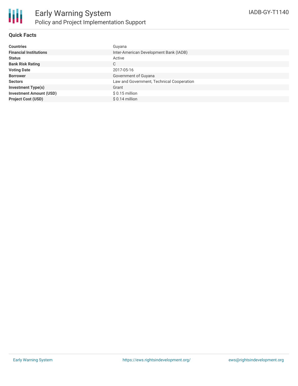

### **Quick Facts**

| <b>Countries</b>               | Guyana                                    |
|--------------------------------|-------------------------------------------|
| <b>Financial Institutions</b>  | Inter-American Development Bank (IADB)    |
| <b>Status</b>                  | Active                                    |
| <b>Bank Risk Rating</b>        | С                                         |
| <b>Voting Date</b>             | 2017-05-16                                |
| <b>Borrower</b>                | Government of Guyana                      |
| <b>Sectors</b>                 | Law and Government, Technical Cooperation |
| <b>Investment Type(s)</b>      | Grant                                     |
| <b>Investment Amount (USD)</b> | $$0.15$ million                           |
| <b>Project Cost (USD)</b>      | $$0.14$ million                           |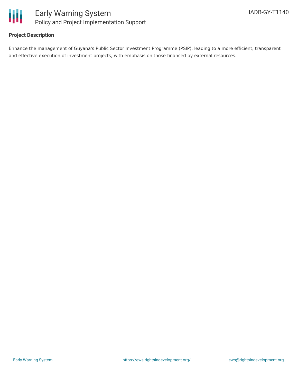

### **Project Description**

Enhance the management of Guyana's Public Sector Investment Programme (PSIP), leading to a more efficient, transparent and effective execution of investment projects, with emphasis on those financed by external resources.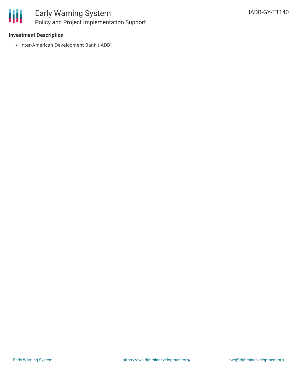

## Early Warning System Policy and Project Implementation Support

### **Investment Description**

• Inter-American Development Bank (IADB)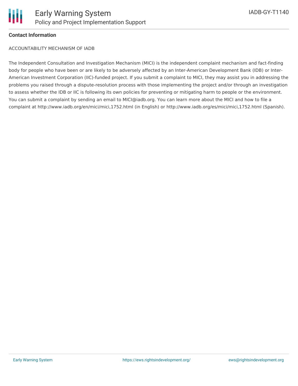

### **Contact Information**

ACCOUNTABILITY MECHANISM OF IADB

The Independent Consultation and Investigation Mechanism (MICI) is the independent complaint mechanism and fact-finding body for people who have been or are likely to be adversely affected by an Inter-American Development Bank (IDB) or Inter-American Investment Corporation (IIC)-funded project. If you submit a complaint to MICI, they may assist you in addressing the problems you raised through a dispute-resolution process with those implementing the project and/or through an investigation to assess whether the IDB or IIC is following its own policies for preventing or mitigating harm to people or the environment. You can submit a complaint by sending an email to MICI@iadb.org. You can learn more about the MICI and how to file a complaint at http://www.iadb.org/en/mici/mici,1752.html (in English) or http://www.iadb.org/es/mici/mici,1752.html (Spanish).